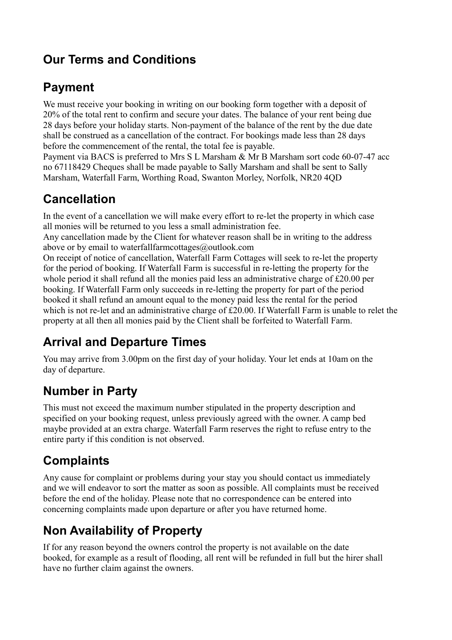## **Our Terms and Conditions**

## **Payment**

We must receive your booking in writing on our booking form together with a deposit of 20% of the total rent to confirm and secure your dates. The balance of your rent being due 28 days before your holiday starts. Non-payment of the balance of the rent by the due date shall be construed as a cancellation of the contract. For bookings made less than 28 days before the commencement of the rental, the total fee is payable.

Payment via BACS is preferred to Mrs S L Marsham & Mr B Marsham sort code 60-07-47 acc no 67118429 Cheques shall be made payable to Sally Marsham and shall be sent to Sally Marsham, Waterfall Farm, Worthing Road, Swanton Morley, Norfolk, NR20 4QD

## **Cancellation**

In the event of a cancellation we will make every effort to re-let the property in which case all monies will be returned to you less a small administration fee.

Any cancellation made by the Client for whatever reason shall be in writing to the address above or by email to waterfallfarmcottages@outlook.com

On receipt of notice of cancellation, Waterfall Farm Cottages will seek to re-let the property for the period of booking. If Waterfall Farm is successful in re-letting the property for the whole period it shall refund all the monies paid less an administrative charge of £20.00 per booking. If Waterfall Farm only succeeds in re-letting the property for part of the period booked it shall refund an amount equal to the money paid less the rental for the period which is not re-let and an administrative charge of £20.00. If Waterfall Farm is unable to relet the property at all then all monies paid by the Client shall be forfeited to Waterfall Farm.

# **Arrival and Departure Times**

You may arrive from 3.00pm on the first day of your holiday. Your let ends at 10am on the day of departure.

## **Number in Party**

This must not exceed the maximum number stipulated in the property description and specified on your booking request, unless previously agreed with the owner. A camp bed maybe provided at an extra charge. Waterfall Farm reserves the right to refuse entry to the entire party if this condition is not observed.

## **Complaints**

Any cause for complaint or problems during your stay you should contact us immediately and we will endeavor to sort the matter as soon as possible. All complaints must be received before the end of the holiday. Please note that no correspondence can be entered into concerning complaints made upon departure or after you have returned home.

## **Non Availability of Property**

If for any reason beyond the owners control the property is not available on the date booked, for example as a result of flooding, all rent will be refunded in full but the hirer shall have no further claim against the owners.